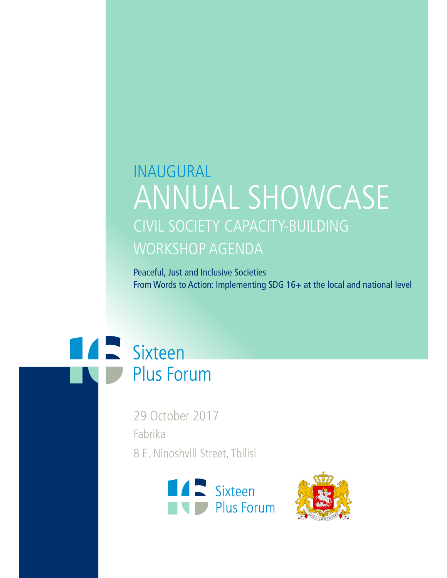## **INAUGURAL ANNUAL SHOWCASE** CIVIL SOCIETY CAPACITY-BUILDING **WORKSHOP AGENDA**

Peaceful, Just and Inclusive Societies From Words to Action: Implementing SDG 16+ at the local and national level



29 October 2017 Fabrika 8 E. Ninoshvili Street, Tbilisi



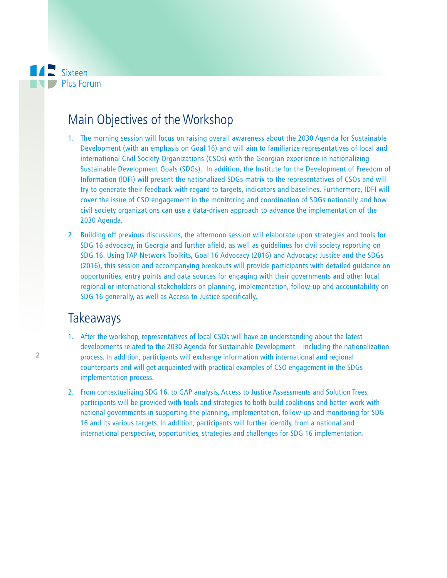

## Main Objectives of the Workshop

- 1. The morning session will focus on raising overall awareness about the 2030 Agenda for Sustainable Development (with an emphasis on Goal 16) and will aim to familiarize representatives of local and international Civil Society Organizations (CSOs) with the Georgian experience in nationalizing Sustainable Development Goals (SDGs). In addition, the Institute for the Development of Freedom of Information (IDFI) will present the nationalized SDGs matrix to the representatives of CSOs and will try to generate their feedback with regard to targets, indicators and baselines. Furthermore, IDFI will cover the issue of CSO engagement in the monitoring and coordination of SDGs nationally and how civil society organizations can use a data-driven approach to advance the implementation of the 2030 Agenda.
- 2. Building off previous discussions, the afternoon session will elaborate upon strategies and tools for SDG 16 advocacy, in Georgia and further afield, as well as guidelines for civil society reporting on SDG 16. Using TAP Network Toolkits, Goal 16 Advocacy (2016) and Advocacy: Justice and the SDGs (2016), this session and accompanying breakouts will provide participants with detailed guidance on opportunities, entry points and data sources for engaging with their governments and other local, regional or international stakeholders on planning, implementation, follow-up and accountability on SDG 16 generally, as well as Access to Justice specifically.

## **Takeaways**

- 1. After the workshop, representatives of local CSOs will have an understanding about the latest developments related to the 2030 Agenda for Sustainable Development – including the nationalization process. In addition, participants will exchange information with international and regional counterparts and will get acquainted with practical examples of CSO engagement in the SDGs implementation process.
- 2. From contextualizing SDG 16, to GAP analysis, Access to Justice Assessments and Solution Trees, participants will be provided with tools and strategies to both build coalitions and better work with national governments in supporting the planning, implementation, follow-up and monitoring for SDG 16 and its various targets. In addition, participants will further identify, from a national and international perspective, opportunities, strategies and challenges for SDG 16 implementation.